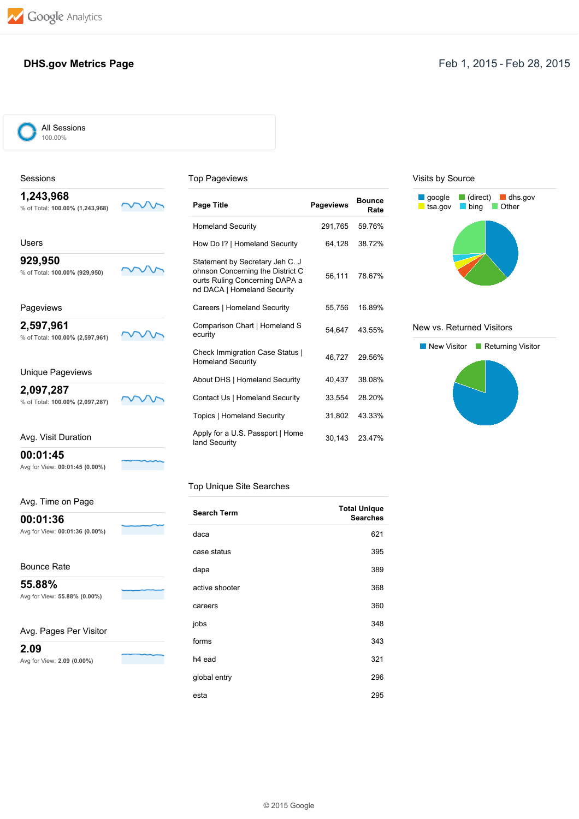**00:01:45**

**00:01:36**

Bounce Rate **55.88%**

**2.09**

Avg for View: **00:01:45 (0.00%)**

Avg. Time on Page

Avg for View: **00:01:36 (0.00%)**

Avg for View: **55.88% (0.00%)**

Avg. Pages Per Visitor

Avg for View: **2.09 (0.00%)**

### **DHS.gov Metrics Page Feb 1, 2015 - Feb 28, 2015**

All Sessions 100.00%

<u>and the second</u>

 $\overline{\phantom{a}}$ 

| Sessions                                     |  | <b>Top Pageviews</b>                                                                                                                 |                  |                       |  |
|----------------------------------------------|--|--------------------------------------------------------------------------------------------------------------------------------------|------------------|-----------------------|--|
| 1,243,968<br>% of Total: 100.00% (1,243,968) |  | Page Title                                                                                                                           | <b>Pageviews</b> | <b>Bounce</b><br>Rate |  |
|                                              |  | <b>Homeland Security</b>                                                                                                             | 291,765          | 59.76%                |  |
| Users                                        |  | How Do I?   Homeland Security                                                                                                        | 64,128           | 38.72%                |  |
| 929,950<br>% of Total: 100.00% (929,950)     |  | Statement by Secretary Jeh C. J<br>ohnson Concerning the District C<br>ourts Ruling Concerning DAPA a<br>nd DACA   Homeland Security | 56,111           | 78.67%                |  |
| Pageviews                                    |  | Careers   Homeland Security                                                                                                          | 55,756           | 16.89%                |  |
| 2,597,961<br>% of Total: 100.00% (2,597,961) |  | Comparison Chart   Homeland S<br>ecurity                                                                                             | 54,647           | 43.55%                |  |
|                                              |  | <b>Check Immigration Case Status  </b><br><b>Homeland Security</b>                                                                   | 46.727           | 29.56%                |  |
| Unique Pageviews                             |  | About DHS   Homeland Security                                                                                                        | 40,437           | 38.08%                |  |
| 2,097,287<br>% of Total: 100.00% (2,097,287) |  | Contact Us   Homeland Security                                                                                                       | 33,554           | 28.20%                |  |
|                                              |  | Topics   Homeland Security                                                                                                           | 31,802           | 43.33%                |  |
| Avg. Visit Duration                          |  | Apply for a U.S. Passport   Home<br>land Security                                                                                    | 30,143           | 23.47%                |  |

#### Top Unique Site Searches

| <b>Search Term</b> | <b>Total Unique</b><br><b>Searches</b> |
|--------------------|----------------------------------------|
| daca               | 621                                    |
| case status        | 395                                    |
| dapa               | 389                                    |
| active shooter     | 368                                    |
| careers            | 360                                    |
| jobs               | 348                                    |
| forms              | 343                                    |
| h <sub>4</sub> ead | 321                                    |
| global entry       | 296                                    |
| esta               | 295                                    |

#### Visits by Source



#### New vs. Returned Visitors

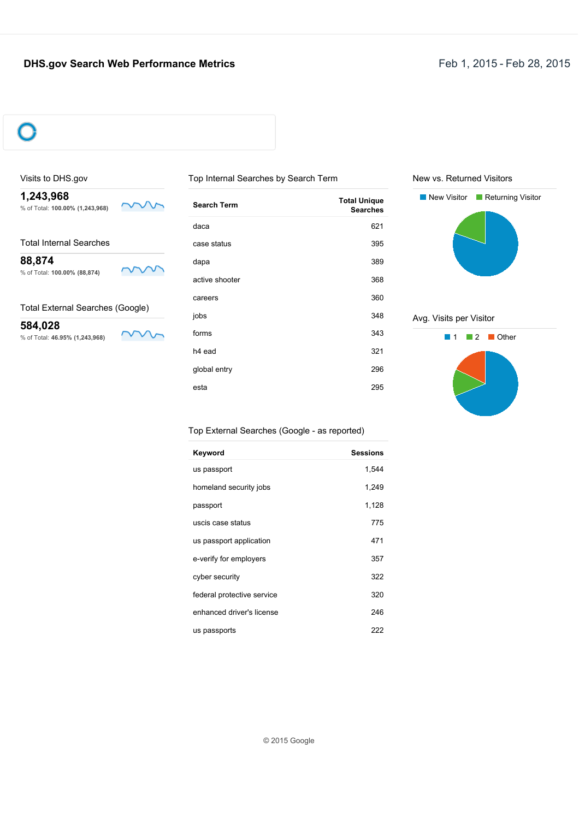### **DHS.gov Search Web Performance Metrics Feb 1, 2015 - Feb 28, 2015**



#### Visits to DHS.gov

**1,243,968** % of Total: **100.00% (1,243,968)**

 $\sim$ 

Total Internal Searches

**88,874** % of Total: **100.00% (88,874)**



г

 $\sim$ 

Total External Searches (Google)

**584,028** % of Total: **46.95% (1,243,968)**

| <b>Search Term</b> | <b>Total Unique</b><br><b>Searches</b> |
|--------------------|----------------------------------------|
| daca               | 621                                    |
| case status        | 395                                    |
| dapa               | 389                                    |
| active shooter     | 368                                    |
| careers            | 360                                    |
| jobs               | 348                                    |
| forms              | 343                                    |
| h <sub>4</sub> ead | 321                                    |
| global entry       | 296                                    |
| esta               | 295                                    |

Top Internal Searches by Search Term

### New vs. Returned Visitors



#### Avg. Visits per Visitor



#### Top External Searches (Google as reported)

| Keyword                    | <b>Sessions</b> |
|----------------------------|-----------------|
| us passport                | 1,544           |
| homeland security jobs     | 1,249           |
| passport                   | 1,128           |
| uscis case status          | 775             |
| us passport application    | 471             |
| e-verify for employers     | 357             |
| cyber security             | 322             |
| federal protective service | 320             |
| enhanced driver's license  | 246             |
| us passports               | 222             |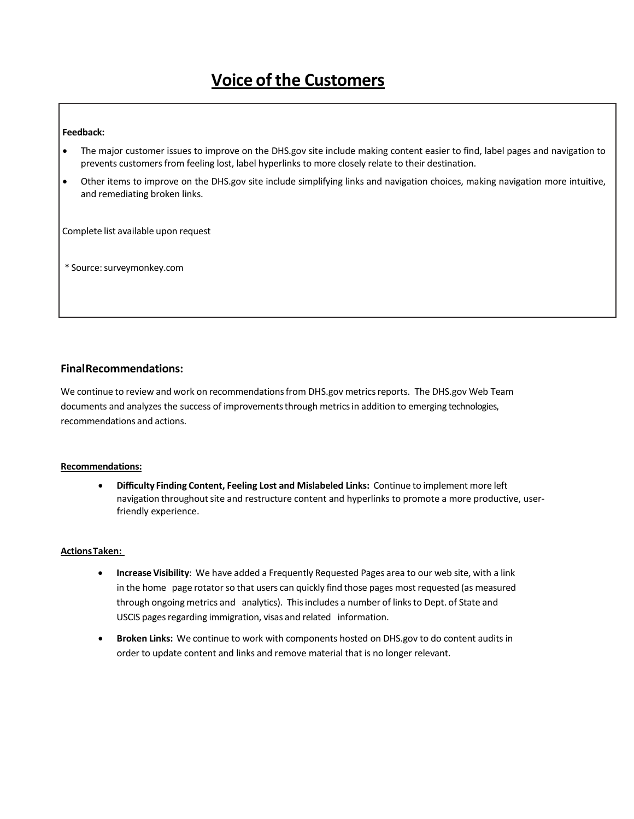# **Voice of the Customers**

#### **Feedback:**

- The major customer issues to improve on the DHS.gov site include making content easier to find, label pages and navigation to prevents customers from feeling lost, label hyperlinks to more closely relate to their destination.
- Other items to improve on the DHS.gov site include simplifying links and navigation choices, making navigation more intuitive, and remediating broken links.

Complete list available upon request

\* Source:surveymonkey.com

#### **FinalRecommendations:**

We continue to review and work on recommendations from DHS.gov metrics reports. The DHS.gov Web Team documents and analyzes the success of improvementsthrough metricsin addition to emerging technologies, recommendations and actions.

#### **Recommendations:**

• **Difficulty Finding Content, Feeling Lost and Mislabeled Links:** Continue to implement more left navigation throughout site and restructure content and hyperlinks to promote a more productive, userfriendly experience.

#### **ActionsTaken:**

- **Increase Visibility**: We have added a Frequently Requested Pages area to our web site, with a link in the home page rotator so that users can quickly find those pages most requested (as measured through ongoing metrics and analytics). Thisincludes a number of linksto Dept. of State and USCIS pages regarding immigration, visas and related information.
- **Broken Links:** We continue to work with components hosted on DHS.gov to do content audits in order to update content and links and remove material that is no longer relevant.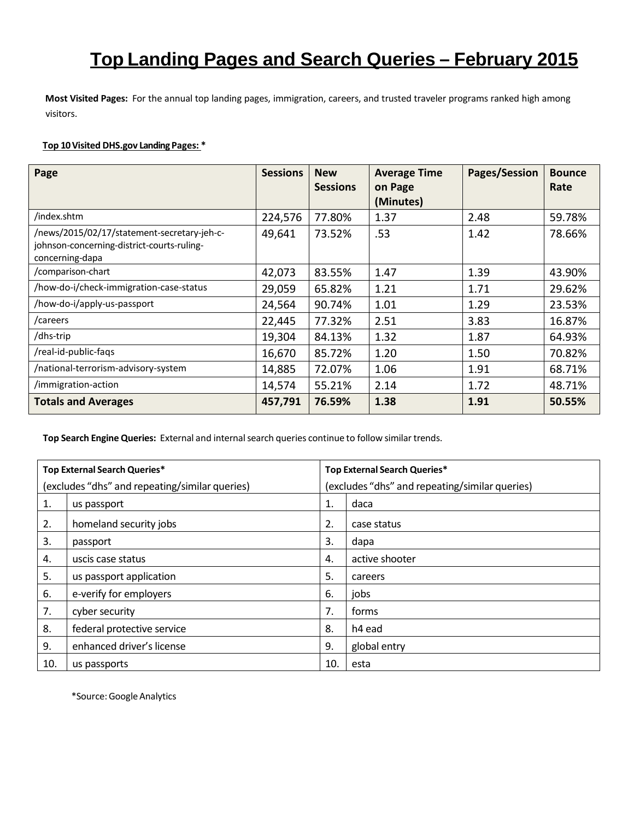# **Top Landing Pages and Search Queries – February 2015**

**Most Visited Pages:** For the annual top landing pages, immigration, careers, and trusted traveler programs ranked high among visitors.

#### **Top 10 Visited DHS.gov Landing Pages: \***

| Page                                                                                                         | <b>Sessions</b> | <b>New</b><br><b>Sessions</b> | <b>Average Time</b><br>on Page<br>(Minutes) | Pages/Session | <b>Bounce</b><br>Rate |
|--------------------------------------------------------------------------------------------------------------|-----------------|-------------------------------|---------------------------------------------|---------------|-----------------------|
| /index.shtm                                                                                                  | 224,576         | 77.80%                        | 1.37                                        | 2.48          | 59.78%                |
| /news/2015/02/17/statement-secretary-jeh-c-<br>johnson-concerning-district-courts-ruling-<br>concerning-dapa | 49,641          | 73.52%                        | .53                                         | 1.42          | 78.66%                |
| /comparison-chart                                                                                            | 42,073          | 83.55%                        | 1.47                                        | 1.39          | 43.90%                |
| /how-do-i/check-immigration-case-status                                                                      | 29,059          | 65.82%                        | 1.21                                        | 1.71          | 29.62%                |
| /how-do-i/apply-us-passport                                                                                  | 24,564          | 90.74%                        | 1.01                                        | 1.29          | 23.53%                |
| /careers                                                                                                     | 22,445          | 77.32%                        | 2.51                                        | 3.83          | 16.87%                |
| /dhs-trip                                                                                                    | 19,304          | 84.13%                        | 1.32                                        | 1.87          | 64.93%                |
| /real-id-public-faqs                                                                                         | 16,670          | 85.72%                        | 1.20                                        | 1.50          | 70.82%                |
| /national-terrorism-advisory-system                                                                          | 14,885          | 72.07%                        | 1.06                                        | 1.91          | 68.71%                |
| /immigration-action                                                                                          | 14,574          | 55.21%                        | 2.14                                        | 1.72          | 48.71%                |
| <b>Totals and Averages</b>                                                                                   | 457,791         | 76.59%                        | 1.38                                        | 1.91          | 50.55%                |

**Top Search Engine Queries:** External and internalsearch queries continue to follow similar trends.

| Top External Search Queries*                   |                            | Top External Search Queries*                   |                |  |
|------------------------------------------------|----------------------------|------------------------------------------------|----------------|--|
| (excludes "dhs" and repeating/similar queries) |                            | (excludes "dhs" and repeating/similar queries) |                |  |
| 1.                                             | us passport                | 1.                                             | daca           |  |
| 2.                                             | homeland security jobs     | 2.                                             | case status    |  |
| 3.                                             | passport                   | 3.                                             | dapa           |  |
| 4.                                             | uscis case status          | 4.                                             | active shooter |  |
| 5.                                             | us passport application    | 5.                                             | careers        |  |
| 6.                                             | e-verify for employers     | 6.                                             | jobs           |  |
| 7.                                             | cyber security             | 7.                                             | forms          |  |
| 8.                                             | federal protective service | 8.                                             | h4 ead         |  |
| 9.                                             | enhanced driver's license  | 9.                                             | global entry   |  |
| 10.                                            | us passports               | 10.                                            | esta           |  |

\*Source:GoogleAnalytics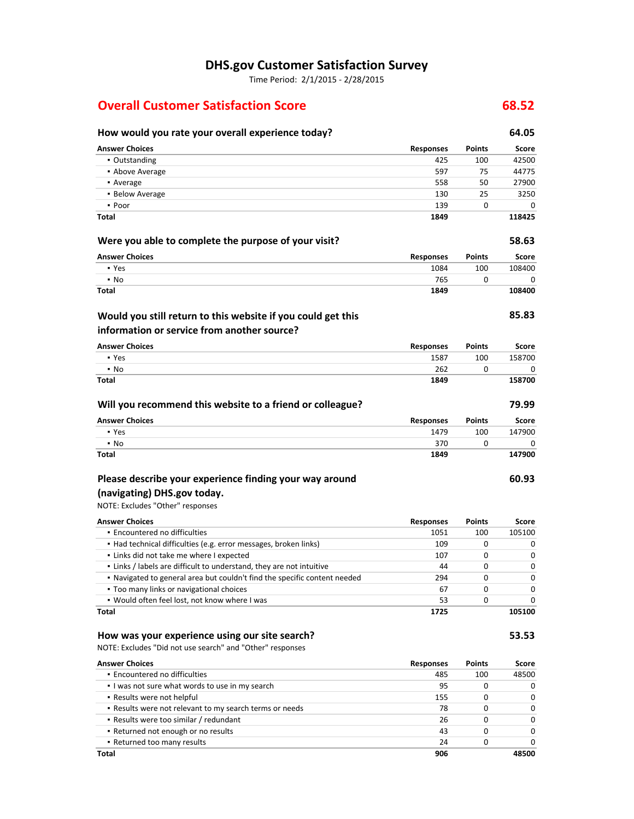# **DHS.gov Customer Satisfaction Survey**

Time Period: 2/1/2015 - 2/28/2015

# **Overall Customer Satisfaction Score 68.52**

| How would you rate your overall experience today?                         |                  |               | 64.05  |
|---------------------------------------------------------------------------|------------------|---------------|--------|
| <b>Answer Choices</b>                                                     | <b>Responses</b> | <b>Points</b> | Score  |
| • Outstanding                                                             | 425              | 100           | 42500  |
| • Above Average                                                           | 597              | 75            | 44775  |
| • Average                                                                 | 558              | 50            | 27900  |
| • Below Average                                                           | 130              | 25            | 3250   |
| • Poor                                                                    | 139              | 0             | C      |
| <b>Total</b>                                                              | 1849             |               | 118425 |
| Were you able to complete the purpose of your visit?                      |                  |               | 58.63  |
| <b>Answer Choices</b>                                                     | <b>Responses</b> | <b>Points</b> | Score  |
| • Yes                                                                     | 1084             | 100           | 108400 |
| $\cdot$ No                                                                | 765              | 0             | C      |
| <b>Total</b>                                                              | 1849             |               | 108400 |
| Would you still return to this website if you could get this              |                  |               | 85.83  |
| information or service from another source?                               |                  |               |        |
| <b>Answer Choices</b>                                                     | <b>Responses</b> | <b>Points</b> | Score  |
| • Yes                                                                     | 1587             | 100           | 158700 |
| • No                                                                      | 262              | 0             | C      |
| Total                                                                     | 1849             |               | 158700 |
| Will you recommend this website to a friend or colleague?                 |                  |               | 79.99  |
| <b>Answer Choices</b>                                                     | <b>Responses</b> | <b>Points</b> | Score  |
| • Yes                                                                     | 1479             | 100           | 147900 |
| • No                                                                      | 370              | 0             | C      |
| Total                                                                     | 1849             |               | 147900 |
| Please describe your experience finding your way around                   |                  |               | 60.93  |
| (navigating) DHS.gov today.                                               |                  |               |        |
| NOTE: Excludes "Other" responses                                          |                  |               |        |
| <b>Answer Choices</b>                                                     | <b>Responses</b> | <b>Points</b> | Score  |
| · Encountered no difficulties                                             | 1051             | 100           | 105100 |
| • Had technical difficulties (e.g. error messages, broken links)          | 109              | 0             | C      |
| . Links did not take me where I expected                                  | 107              | 0             | С      |
| . Links / labels are difficult to understand, they are not intuitive      | 44               | 0             | С      |
| . Navigated to general area but couldn't find the specific content needed | 294              | 0             | C      |
| . Too many links or navigational choices                                  | 67               | 0             |        |
| . Would often feel lost, not know where I was                             | 53               | 0             | C      |
| <b>Total</b>                                                              | 1725             |               | 105100 |
| How was your experience using our site search?                            |                  |               | 53.53  |
| NOTE: Excludes "Did not use search" and "Other" responses                 |                  |               |        |
| <b>Answer Choices</b>                                                     | <b>Responses</b> | <b>Points</b> | Score  |
| · Encountered no difficulties                                             | 485              | 100           | 48500  |
| . I was not sure what words to use in my search                           | 95               | 0             | C      |
| . Results were not helpful                                                | 155              | 0             | С      |
| . Results were not relevant to my search terms or needs                   | 78               | 0             | C      |
| - Results were too similar / redundant                                    | 26               | 0             | С      |
| . Returned not enough or no results                                       | 43               | 0             | С      |
| . Returned too many results                                               | 24               | 0             | C      |